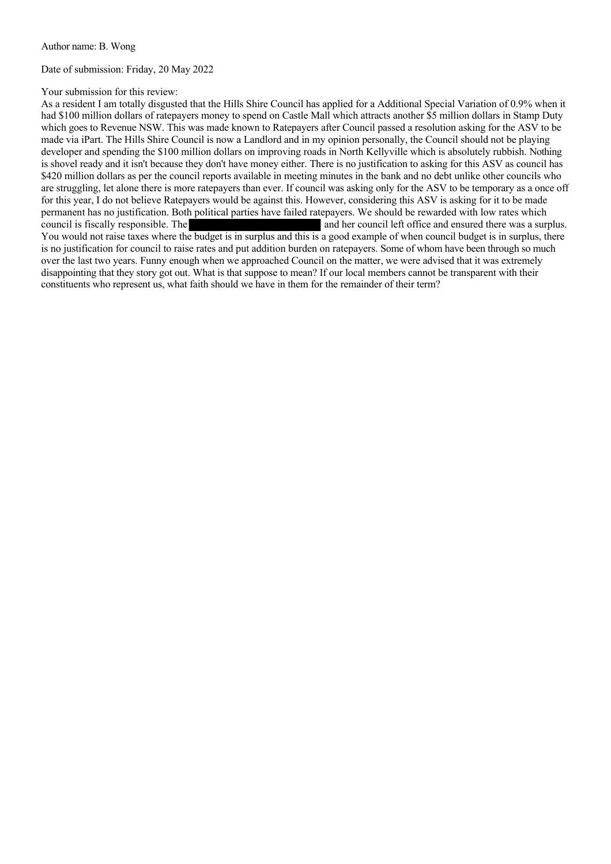Date of submission: Friday, 20 May 2022

## Your submission for this review:

As a resident I am totally disgusted that the Hills Shire Council has applied for a Additional Special Variation of 0.9% when it had \$100 million dollars of ratepayers money to spend on Castle Mall which attracts another \$5 million dollars in Stamp Duty which goes to Revenue NSW. This was made known to Ratepayers after Council passed a resolution asking for the ASV to be made via iPart. The Hills Shire Council is now a Landlord and in my opinion personally, the Council should not be playing developer and spending the \$100 million dollars on improving roads in North Kellyville which is absolutely rubbish. Nothing is shovel ready and it isn't because they don't have money either. There is no justification to asking for this ASV as council has \$420 million dollars as per the council reports available in meeting minutes in the bank and no debt unlike other councils who are struggling, let alone there is more ratepayers than ever. If council was asking only for the ASV to be temporary as a once off for this year, I do not believe Ratepayers would be against this. However, considering this ASV is asking for it to be made permanent has no justification. Both political parties have failed ratepayers. We should be rewarded with low rates which council is fiscally responsible. The *and her council left office and ensured there was a surplus.* You would not raise taxes where the budget is in surplus and this is a good example of when council budget is in surplus, there is no justification for council to raise rates and put addition burden on ratepayers. Some of whom have been through so much over the last two years. Funny enough when we approached Council on the matter, we were advised that it was extremely disappointing that they story got out. What is that suppose to mean? If our local members cannot be transparent with their constituents who represent us, what faith should we have in them for the remainder of their term?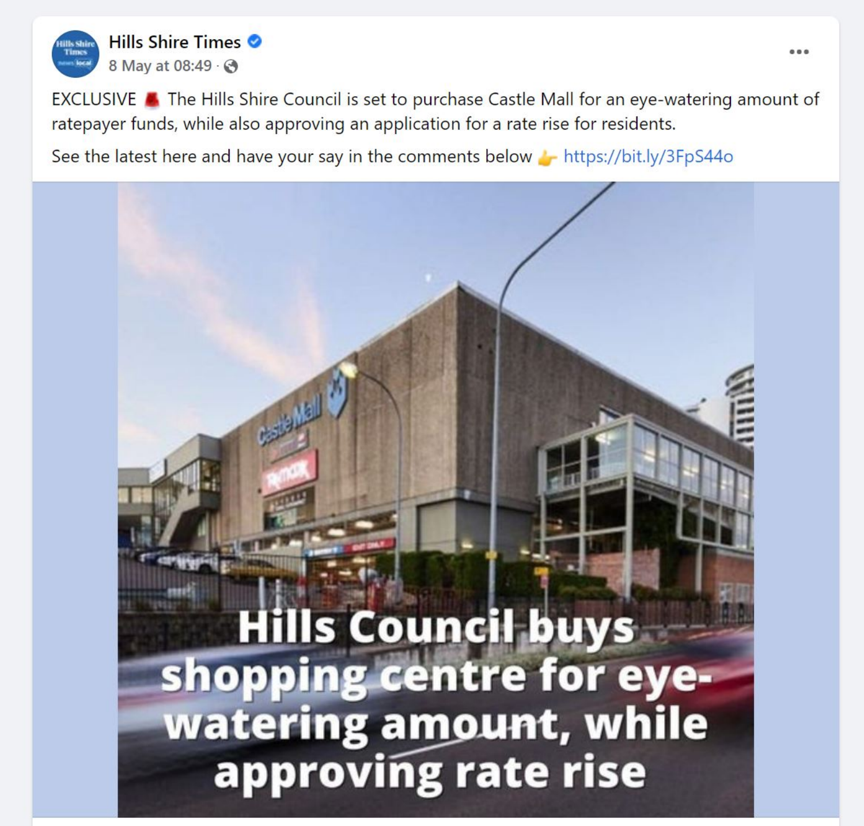

EXCLUSIVE A The Hills Shire Council is set to purchase Castle Mall for an eye-watering amount of ratepayer funds, while also approving an application for a rate rise for residents.

See the latest here and have your say in the comments below https://bit.ly/3FpS44o